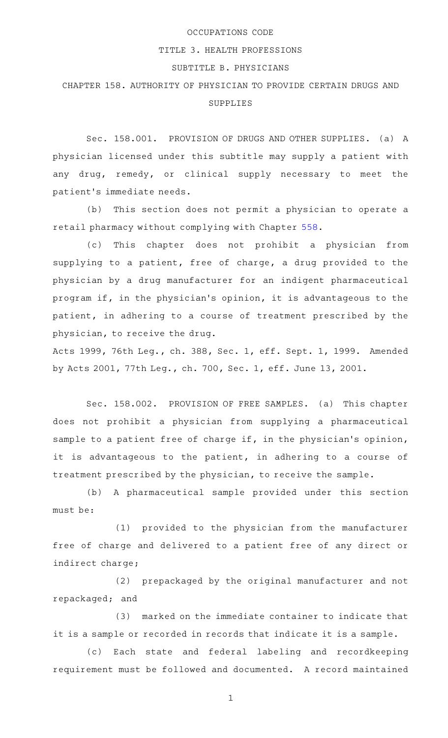## OCCUPATIONS CODE

## TITLE 3. HEALTH PROFESSIONS

## SUBTITLE B. PHYSICIANS

## CHAPTER 158. AUTHORITY OF PHYSICIAN TO PROVIDE CERTAIN DRUGS AND SUPPLIES

Sec. 158.001. PROVISION OF DRUGS AND OTHER SUPPLIES. (a) A physician licensed under this subtitle may supply a patient with any drug, remedy, or clinical supply necessary to meet the patient 's immediate needs.

(b) This section does not permit a physician to operate a retail pharmacy without complying with Chapter [558](http://www.statutes.legis.state.tx.us/GetStatute.aspx?Code=OC&Value=558).

(c) This chapter does not prohibit a physician from supplying to a patient, free of charge, a drug provided to the physician by a drug manufacturer for an indigent pharmaceutical program if, in the physician 's opinion, it is advantageous to the patient, in adhering to a course of treatment prescribed by the physician, to receive the drug.

Acts 1999, 76th Leg., ch. 388, Sec. 1, eff. Sept. 1, 1999. Amended by Acts 2001, 77th Leg., ch. 700, Sec. 1, eff. June 13, 2001.

Sec. 158.002. PROVISION OF FREE SAMPLES. (a) This chapter does not prohibit a physician from supplying a pharmaceutical sample to a patient free of charge if, in the physician's opinion, it is advantageous to the patient, in adhering to a course of treatment prescribed by the physician, to receive the sample.

(b) A pharmaceutical sample provided under this section must be:

 $(1)$  provided to the physician from the manufacturer free of charge and delivered to a patient free of any direct or indirect charge;

(2) prepackaged by the original manufacturer and not repackaged; and

(3) marked on the immediate container to indicate that it is a sample or recorded in records that indicate it is a sample.

(c) Each state and federal labeling and recordkeeping requirement must be followed and documented. A record maintained

1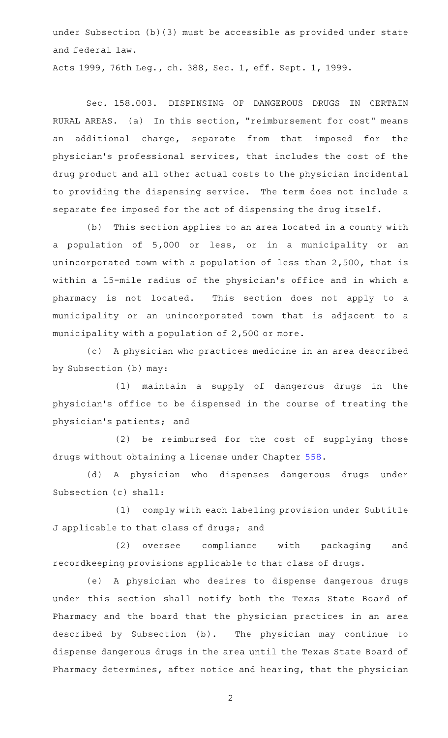under Subsection (b)(3) must be accessible as provided under state and federal law.

Acts 1999, 76th Leg., ch. 388, Sec. 1, eff. Sept. 1, 1999.

Sec. 158.003. DISPENSING OF DANGEROUS DRUGS IN CERTAIN RURAL AREAS. (a) In this section, "reimbursement for cost" means an additional charge, separate from that imposed for the physician 's professional services, that includes the cost of the drug product and all other actual costs to the physician incidental to providing the dispensing service. The term does not include a separate fee imposed for the act of dispensing the drug itself.

(b) This section applies to an area located in a county with a population of 5,000 or less, or in a municipality or an unincorporated town with a population of less than 2,500, that is within a 15-mile radius of the physician 's office and in which a pharmacy is not located. This section does not apply to a municipality or an unincorporated town that is adjacent to a municipality with a population of 2,500 or more.

(c) A physician who practices medicine in an area described by Subsection (b) may:

(1) maintain a supply of dangerous drugs in the physician 's office to be dispensed in the course of treating the physician 's patients; and

(2) be reimbursed for the cost of supplying those drugs without obtaining a license under Chapter [558](http://www.statutes.legis.state.tx.us/GetStatute.aspx?Code=OC&Value=558).

(d)AAA physician who dispenses dangerous drugs under Subsection (c) shall:

(1) comply with each labeling provision under Subtitle J applicable to that class of drugs; and

(2) oversee compliance with packaging and recordkeeping provisions applicable to that class of drugs.

(e)AAA physician who desires to dispense dangerous drugs under this section shall notify both the Texas State Board of Pharmacy and the board that the physician practices in an area described by Subsection (b). The physician may continue to dispense dangerous drugs in the area until the Texas State Board of Pharmacy determines, after notice and hearing, that the physician

2